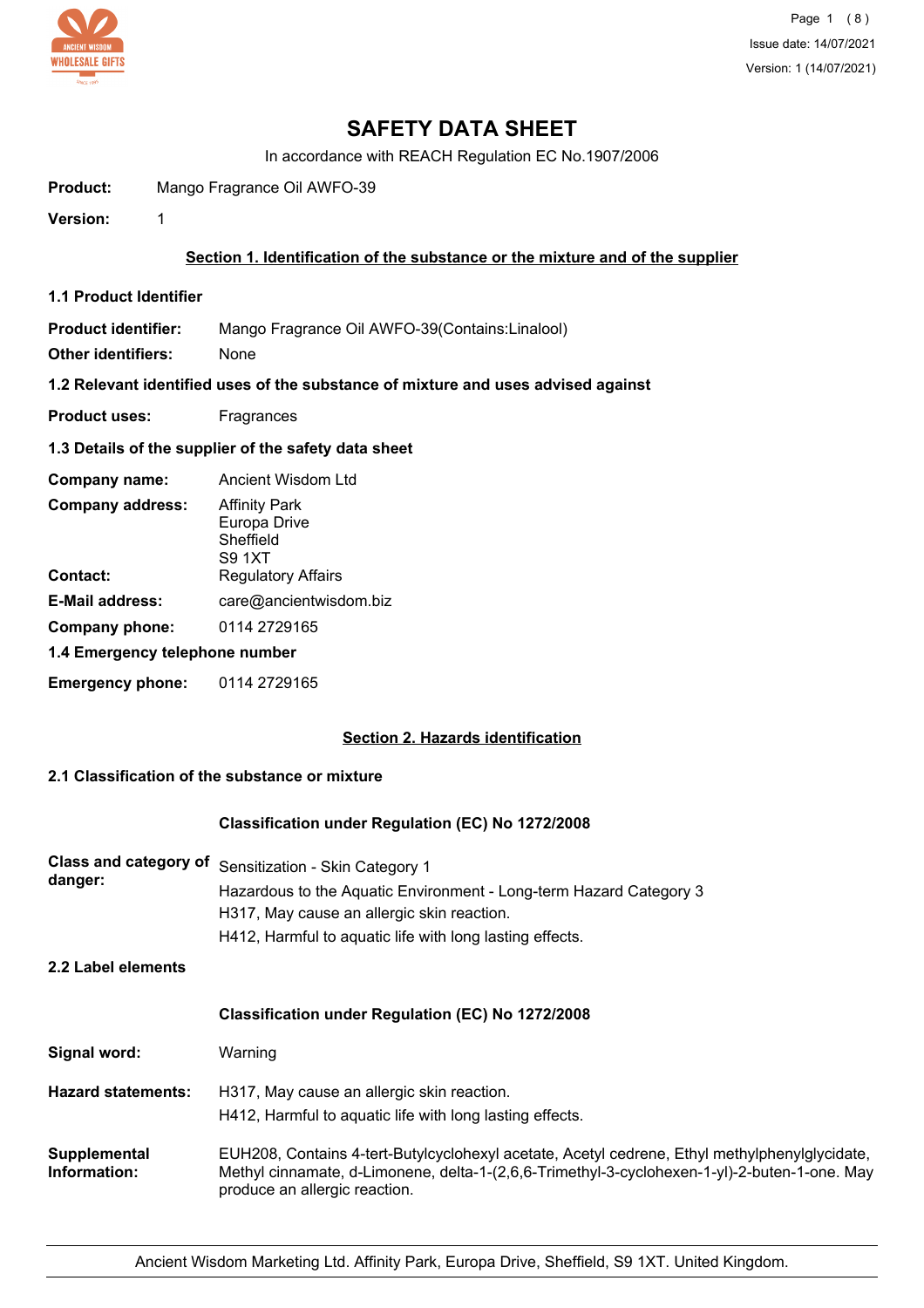

# **SAFETY DATA SHEET**

In accordance with REACH Regulation EC No.1907/2006

**Product:** Mango Fragrance Oil AWFO-39

**Version:** 1

## **Section 1. Identification of the substance or the mixture and of the supplier**

**1.1 Product Identifier**

**Product identifier:** Mango Fragrance Oil AWFO-39(Contains:Linalool)

**Other identifiers:** None

**1.2 Relevant identified uses of the substance of mixture and uses advised against**

**Product uses:** Fragrances

## **1.3 Details of the supplier of the safety data sheet**

| Company name:                  | Ancient Wisdom Ltd                                          |
|--------------------------------|-------------------------------------------------------------|
| <b>Company address:</b>        | <b>Affinity Park</b><br>Europa Drive<br>Sheffield<br>S9 1XT |
| Contact:                       | <b>Regulatory Affairs</b>                                   |
| <b>E-Mail address:</b>         | care@ancientwisdom.biz                                      |
| Company phone:                 | 0114 2729165                                                |
| 1.4 Emergency telephone number |                                                             |
| <b>Emergency phone:</b>        | 0114 2729165                                                |

## **Section 2. Hazards identification**

# **2.1 Classification of the substance or mixture**

## **Classification under Regulation (EC) No 1272/2008**

| <b>Class and category of</b><br>danger:<br>2.2 Label elements | Sensitization - Skin Category 1<br>Hazardous to the Aquatic Environment - Long-term Hazard Category 3<br>H317, May cause an allergic skin reaction.<br>H412, Harmful to aquatic life with long lasting effects.                |
|---------------------------------------------------------------|--------------------------------------------------------------------------------------------------------------------------------------------------------------------------------------------------------------------------------|
|                                                               | <b>Classification under Regulation (EC) No 1272/2008</b>                                                                                                                                                                       |
| Signal word:                                                  | Warning                                                                                                                                                                                                                        |
| <b>Hazard statements:</b>                                     | H317, May cause an allergic skin reaction.<br>H412, Harmful to aquatic life with long lasting effects.                                                                                                                         |
| Supplemental<br>Information:                                  | EUH208, Contains 4-tert-Butylcyclohexyl acetate, Acetyl cedrene, Ethyl methylphenylglycidate,<br>Methyl cinnamate, d-Limonene, delta-1-(2,6,6-Trimethyl-3-cyclohexen-1-yl)-2-buten-1-one. May<br>produce an allergic reaction. |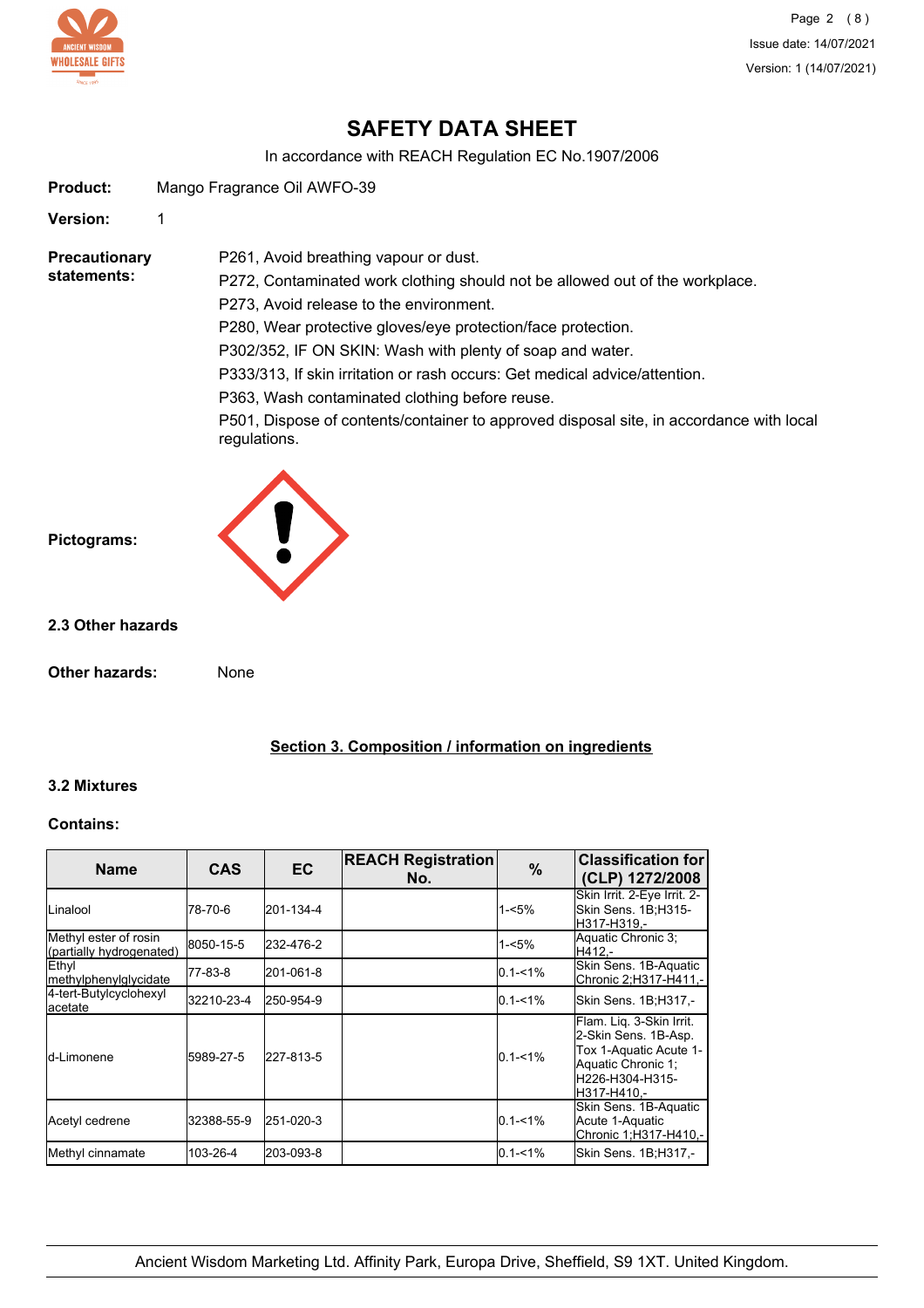

Page 2 (8) Issue date: 14/07/2021 Version: 1 (14/07/2021)

# **SAFETY DATA SHEET**

In accordance with REACH Regulation EC No.1907/2006

**Product:** Mango Fragrance Oil AWFO-39

**Version:** 1

**Precautionary statements:**

P272, Contaminated work clothing should not be allowed out of the workplace.

P273, Avoid release to the environment.

P261, Avoid breathing vapour or dust.

P280, Wear protective gloves/eye protection/face protection.

P302/352, IF ON SKIN: Wash with plenty of soap and water.

P333/313, If skin irritation or rash occurs: Get medical advice/attention.

P363, Wash contaminated clothing before reuse.

P501, Dispose of contents/container to approved disposal site, in accordance with local regulations.



#### **2.3 Other hazards**

**Pictograms:**

**Other hazards:** None

# **Section 3. Composition / information on ingredients**

## **3.2 Mixtures**

#### **Contains:**

| <b>Name</b>                                       | <b>CAS</b> | <b>EC</b> | <b>REACH Registration</b><br>No. | $\%$        | <b>Classification for</b><br>(CLP) 1272/2008                                                                                       |
|---------------------------------------------------|------------|-----------|----------------------------------|-------------|------------------------------------------------------------------------------------------------------------------------------------|
| <b>I</b> Linalool                                 | 78-70-6    | 201-134-4 |                                  | $1 - 5%$    | Skin Irrit. 2-Eye Irrit. 2-<br>Skin Sens. 1B;H315-<br>H317-H319.-                                                                  |
| Methyl ester of rosin<br>(partially hydrogenated) | 8050-15-5  | 232-476-2 |                                  | 1-<5%       | Aquatic Chronic 3:<br>H412.-                                                                                                       |
| Ethyl<br><b>Imethylphenylglycidate</b>            | 77-83-8    | 201-061-8 |                                  | $0.1 - 1\%$ | Skin Sens. 1B-Aquatic<br>Chronic 2;H317-H411,-                                                                                     |
| 4-tert-Butylcyclohexyl<br>lacetate                | 32210-23-4 | 250-954-9 |                                  | $0.1 - 1\%$ | Skin Sens. 1B;H317,-                                                                                                               |
| Id-Limonene                                       | 5989-27-5  | 227-813-5 |                                  | $0.1 - 1\%$ | Flam. Liq. 3-Skin Irrit.<br>2-Skin Sens. 1B-Asp.<br>Tox 1-Aquatic Acute 1-<br>Aquatic Chronic 1;<br>H226-H304-H315-<br>H317-H410.- |
| Acetyl cedrene                                    | 32388-55-9 | 251-020-3 |                                  | $0.1 - 1%$  | Skin Sens. 1B-Aquatic<br>Acute 1-Aquatic<br>Chronic 1;H317-H410,-                                                                  |
| Methyl cinnamate                                  | 103-26-4   | 203-093-8 |                                  | $0.1 - 1\%$ | Skin Sens. 1B;H317,-                                                                                                               |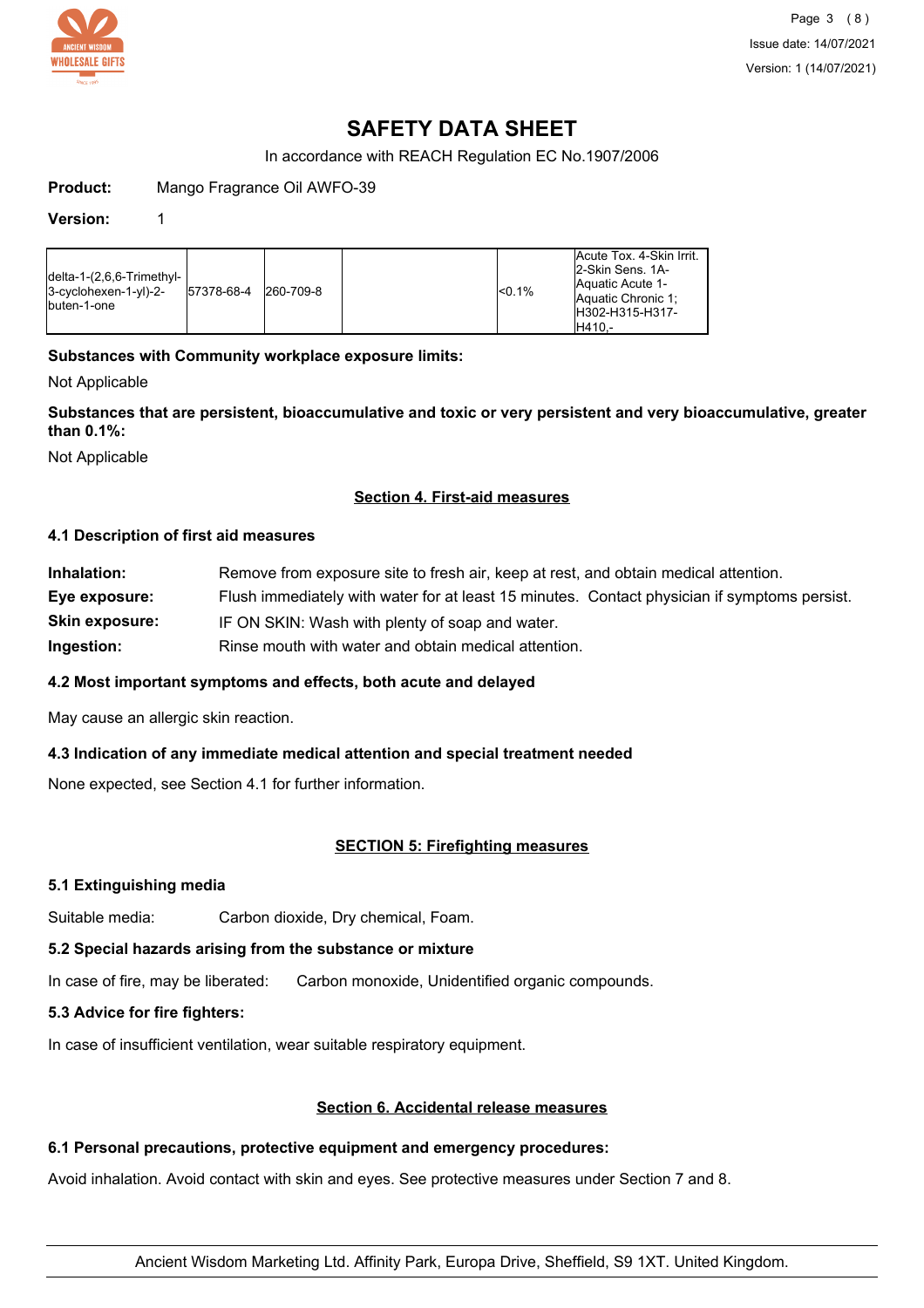

Page 3 (8) Issue date: 14/07/2021 Version: 1 (14/07/2021)

# **SAFETY DATA SHEET**

In accordance with REACH Regulation EC No.1907/2006

**Product:** Mango Fragrance Oil AWFO-39

#### **Version:** 1

| $\lceil$ delta-1-(2,6,6-Trimethyl- $\lceil$<br>$3-c$ yclohexen-1-yl $)-2-$<br>Ibuten-1-one | 57378-68-4 | 260-709-8 | <sub>0.1%</sub> | Acute Tox. 4-Skin Irrit.<br>2-Skin Sens, 1A-<br><b>Aquatic Acute 1-</b><br>Aquatic Chronic 1:<br>H302-H315-H317- |
|--------------------------------------------------------------------------------------------|------------|-----------|-----------------|------------------------------------------------------------------------------------------------------------------|
|                                                                                            |            |           |                 | IH410.-                                                                                                          |

## **Substances with Community workplace exposure limits:**

Not Applicable

**Substances that are persistent, bioaccumulative and toxic or very persistent and very bioaccumulative, greater than 0.1%:**

Not Applicable

#### **Section 4. First-aid measures**

#### **4.1 Description of first aid measures**

| Inhalation:           | Remove from exposure site to fresh air, keep at rest, and obtain medical attention.          |  |  |
|-----------------------|----------------------------------------------------------------------------------------------|--|--|
| Eye exposure:         | Flush immediately with water for at least 15 minutes. Contact physician if symptoms persist. |  |  |
| <b>Skin exposure:</b> | IF ON SKIN: Wash with plenty of soap and water.                                              |  |  |
| Ingestion:            | Rinse mouth with water and obtain medical attention.                                         |  |  |

## **4.2 Most important symptoms and effects, both acute and delayed**

May cause an allergic skin reaction.

#### **4.3 Indication of any immediate medical attention and special treatment needed**

None expected, see Section 4.1 for further information.

## **SECTION 5: Firefighting measures**

#### **5.1 Extinguishing media**

Suitable media: Carbon dioxide, Dry chemical, Foam.

#### **5.2 Special hazards arising from the substance or mixture**

In case of fire, may be liberated: Carbon monoxide, Unidentified organic compounds.

## **5.3 Advice for fire fighters:**

In case of insufficient ventilation, wear suitable respiratory equipment.

#### **Section 6. Accidental release measures**

#### **6.1 Personal precautions, protective equipment and emergency procedures:**

Avoid inhalation. Avoid contact with skin and eyes. See protective measures under Section 7 and 8.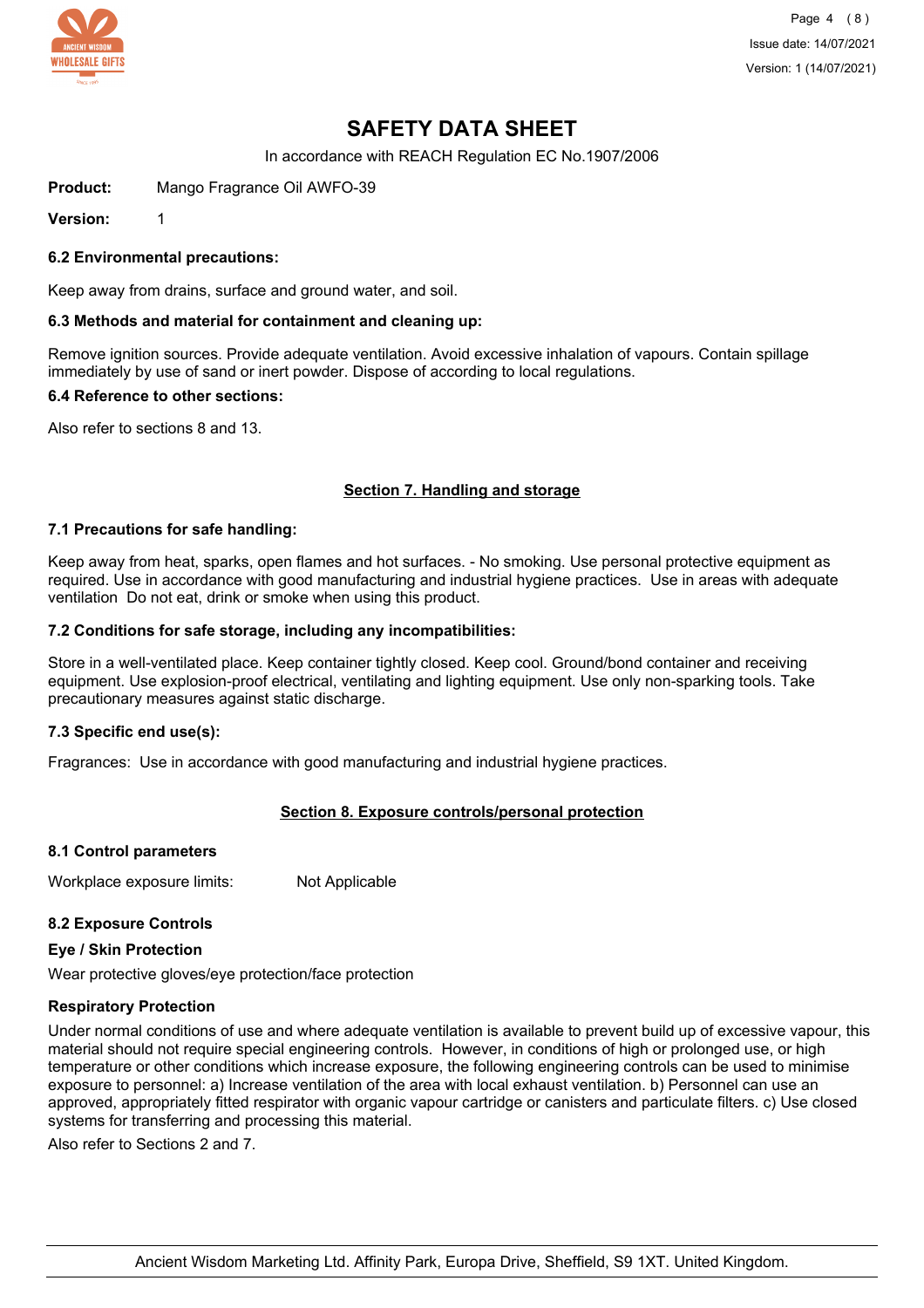

Page 4 (8) Issue date: 14/07/2021 Version: 1 (14/07/2021)

# **SAFETY DATA SHEET**

In accordance with REACH Regulation EC No.1907/2006

**Product:** Mango Fragrance Oil AWFO-39

**Version:** 1

**6.2 Environmental precautions:**

Keep away from drains, surface and ground water, and soil.

#### **6.3 Methods and material for containment and cleaning up:**

Remove ignition sources. Provide adequate ventilation. Avoid excessive inhalation of vapours. Contain spillage immediately by use of sand or inert powder. Dispose of according to local regulations.

#### **6.4 Reference to other sections:**

Also refer to sections 8 and 13.

#### **Section 7. Handling and storage**

#### **7.1 Precautions for safe handling:**

Keep away from heat, sparks, open flames and hot surfaces. - No smoking. Use personal protective equipment as required. Use in accordance with good manufacturing and industrial hygiene practices. Use in areas with adequate ventilation Do not eat, drink or smoke when using this product.

#### **7.2 Conditions for safe storage, including any incompatibilities:**

Store in a well-ventilated place. Keep container tightly closed. Keep cool. Ground/bond container and receiving equipment. Use explosion-proof electrical, ventilating and lighting equipment. Use only non-sparking tools. Take precautionary measures against static discharge.

#### **7.3 Specific end use(s):**

Fragrances: Use in accordance with good manufacturing and industrial hygiene practices.

## **Section 8. Exposure controls/personal protection**

#### **8.1 Control parameters**

Workplace exposure limits: Not Applicable

#### **8.2 Exposure Controls**

#### **Eye / Skin Protection**

Wear protective gloves/eye protection/face protection

#### **Respiratory Protection**

Under normal conditions of use and where adequate ventilation is available to prevent build up of excessive vapour, this material should not require special engineering controls. However, in conditions of high or prolonged use, or high temperature or other conditions which increase exposure, the following engineering controls can be used to minimise exposure to personnel: a) Increase ventilation of the area with local exhaust ventilation. b) Personnel can use an approved, appropriately fitted respirator with organic vapour cartridge or canisters and particulate filters. c) Use closed systems for transferring and processing this material.

Also refer to Sections 2 and 7.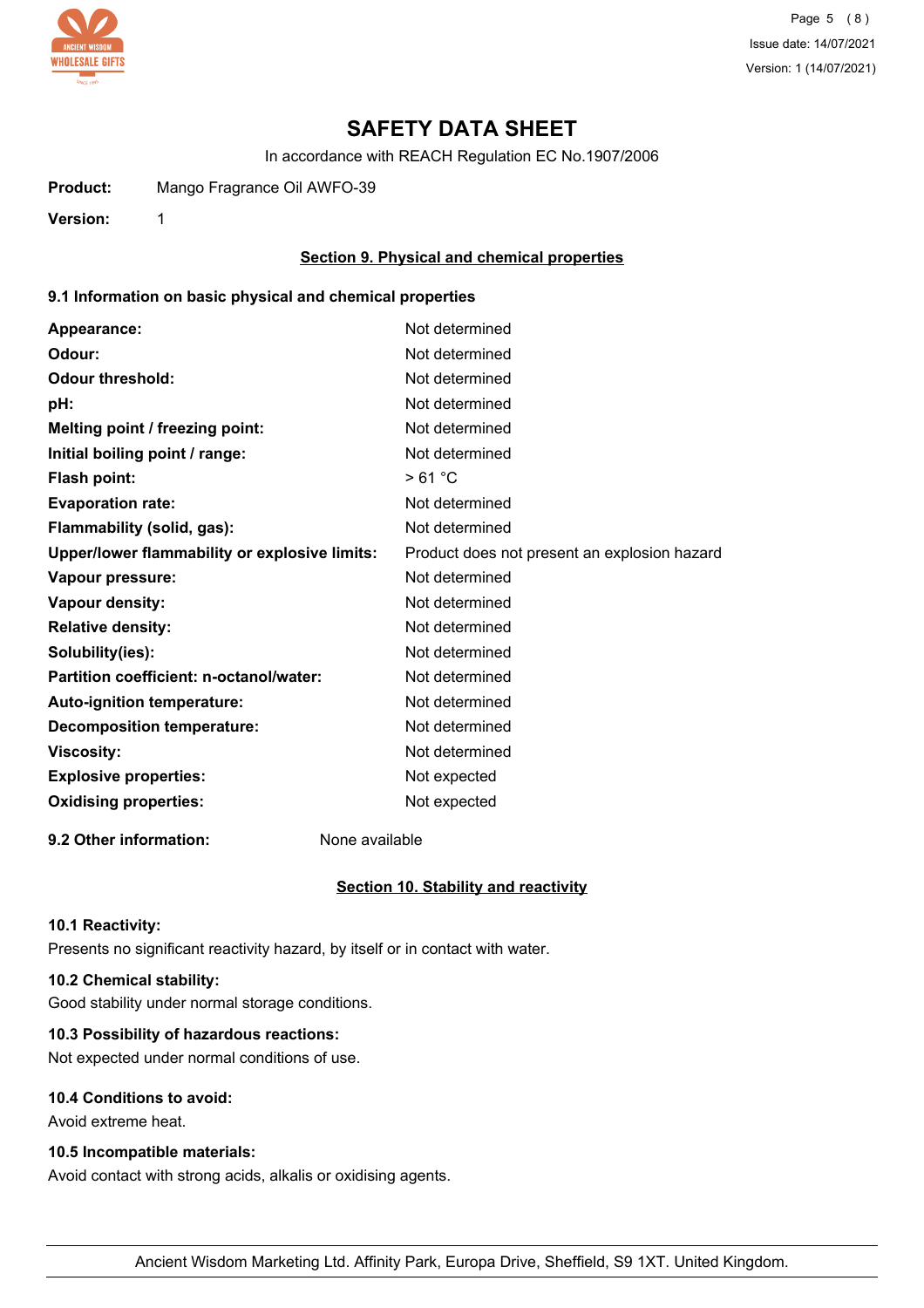

Page 5 (8) Issue date: 14/07/2021 Version: 1 (14/07/2021)

# **SAFETY DATA SHEET**

In accordance with REACH Regulation EC No.1907/2006

**Product:** Mango Fragrance Oil AWFO-39

**Version:** 1

## **Section 9. Physical and chemical properties**

## **9.1 Information on basic physical and chemical properties**

| Appearance:                                   | Not determined                               |
|-----------------------------------------------|----------------------------------------------|
| Odour:                                        | Not determined                               |
| <b>Odour threshold:</b>                       | Not determined                               |
| pH:                                           | Not determined                               |
| Melting point / freezing point:               | Not determined                               |
| Initial boiling point / range:                | Not determined                               |
| <b>Flash point:</b>                           | >61 °C                                       |
| <b>Evaporation rate:</b>                      | Not determined                               |
| Flammability (solid, gas):                    | Not determined                               |
| Upper/lower flammability or explosive limits: | Product does not present an explosion hazard |
| Vapour pressure:                              | Not determined                               |
| Vapour density:                               | Not determined                               |
| <b>Relative density:</b>                      | Not determined                               |
| Solubility(ies):                              | Not determined                               |
| Partition coefficient: n-octanol/water:       | Not determined                               |
| Auto-ignition temperature:                    | Not determined                               |
| <b>Decomposition temperature:</b>             | Not determined                               |
| <b>Viscosity:</b>                             | Not determined                               |
| <b>Explosive properties:</b>                  | Not expected                                 |
| <b>Oxidising properties:</b>                  | Not expected                                 |
|                                               |                                              |

**9.2 Other information:** None available

## **Section 10. Stability and reactivity**

#### **10.1 Reactivity:**

Presents no significant reactivity hazard, by itself or in contact with water.

## **10.2 Chemical stability:**

Good stability under normal storage conditions.

# **10.3 Possibility of hazardous reactions:**

Not expected under normal conditions of use.

# **10.4 Conditions to avoid:**

Avoid extreme heat.

## **10.5 Incompatible materials:**

Avoid contact with strong acids, alkalis or oxidising agents.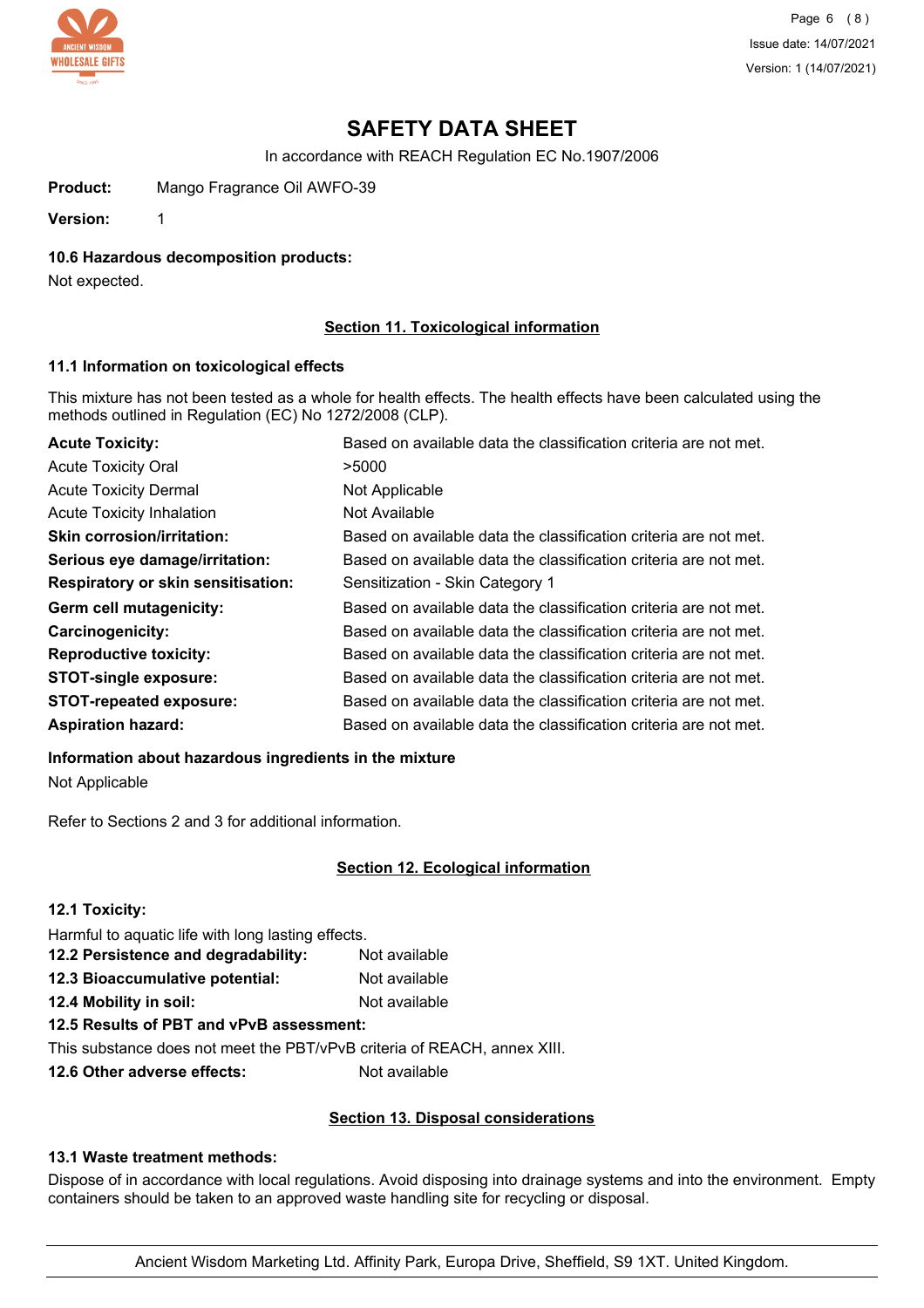

Page 6 (8) Issue date: 14/07/2021 Version: 1 (14/07/2021)

# **SAFETY DATA SHEET**

In accordance with REACH Regulation EC No.1907/2006

**Product:** Mango Fragrance Oil AWFO-39

**Version:** 1

**10.6 Hazardous decomposition products:**

Not expected.

## **Section 11. Toxicological information**

#### **11.1 Information on toxicological effects**

This mixture has not been tested as a whole for health effects. The health effects have been calculated using the methods outlined in Regulation (EC) No 1272/2008 (CLP).

| <b>Acute Toxicity:</b>                    | Based on available data the classification criteria are not met. |
|-------------------------------------------|------------------------------------------------------------------|
| <b>Acute Toxicity Oral</b>                | >5000                                                            |
| <b>Acute Toxicity Dermal</b>              | Not Applicable                                                   |
| <b>Acute Toxicity Inhalation</b>          | Not Available                                                    |
| <b>Skin corrosion/irritation:</b>         | Based on available data the classification criteria are not met. |
| Serious eye damage/irritation:            | Based on available data the classification criteria are not met. |
| <b>Respiratory or skin sensitisation:</b> | Sensitization - Skin Category 1                                  |
| Germ cell mutagenicity:                   | Based on available data the classification criteria are not met. |
| <b>Carcinogenicity:</b>                   | Based on available data the classification criteria are not met. |
| <b>Reproductive toxicity:</b>             | Based on available data the classification criteria are not met. |
| <b>STOT-single exposure:</b>              | Based on available data the classification criteria are not met. |
| <b>STOT-repeated exposure:</b>            | Based on available data the classification criteria are not met. |
| <b>Aspiration hazard:</b>                 | Based on available data the classification criteria are not met. |

**Information about hazardous ingredients in the mixture**

Not Applicable

Refer to Sections 2 and 3 for additional information.

## **Section 12. Ecological information**

| 12.1 Toxicity:                                                           |               |
|--------------------------------------------------------------------------|---------------|
| Harmful to aquatic life with long lasting effects.                       |               |
| 12.2 Persistence and degradability:                                      | Not available |
| 12.3 Bioaccumulative potential:                                          | Not available |
| 12.4 Mobility in soil:                                                   | Not available |
| 12.5 Results of PBT and vPvB assessment:                                 |               |
| This substance does not meet the PBT/vPvB criteria of REACH, annex XIII. |               |
|                                                                          |               |

**12.6 Other adverse effects:** Not available

## **Section 13. Disposal considerations**

## **13.1 Waste treatment methods:**

Dispose of in accordance with local regulations. Avoid disposing into drainage systems and into the environment. Empty containers should be taken to an approved waste handling site for recycling or disposal.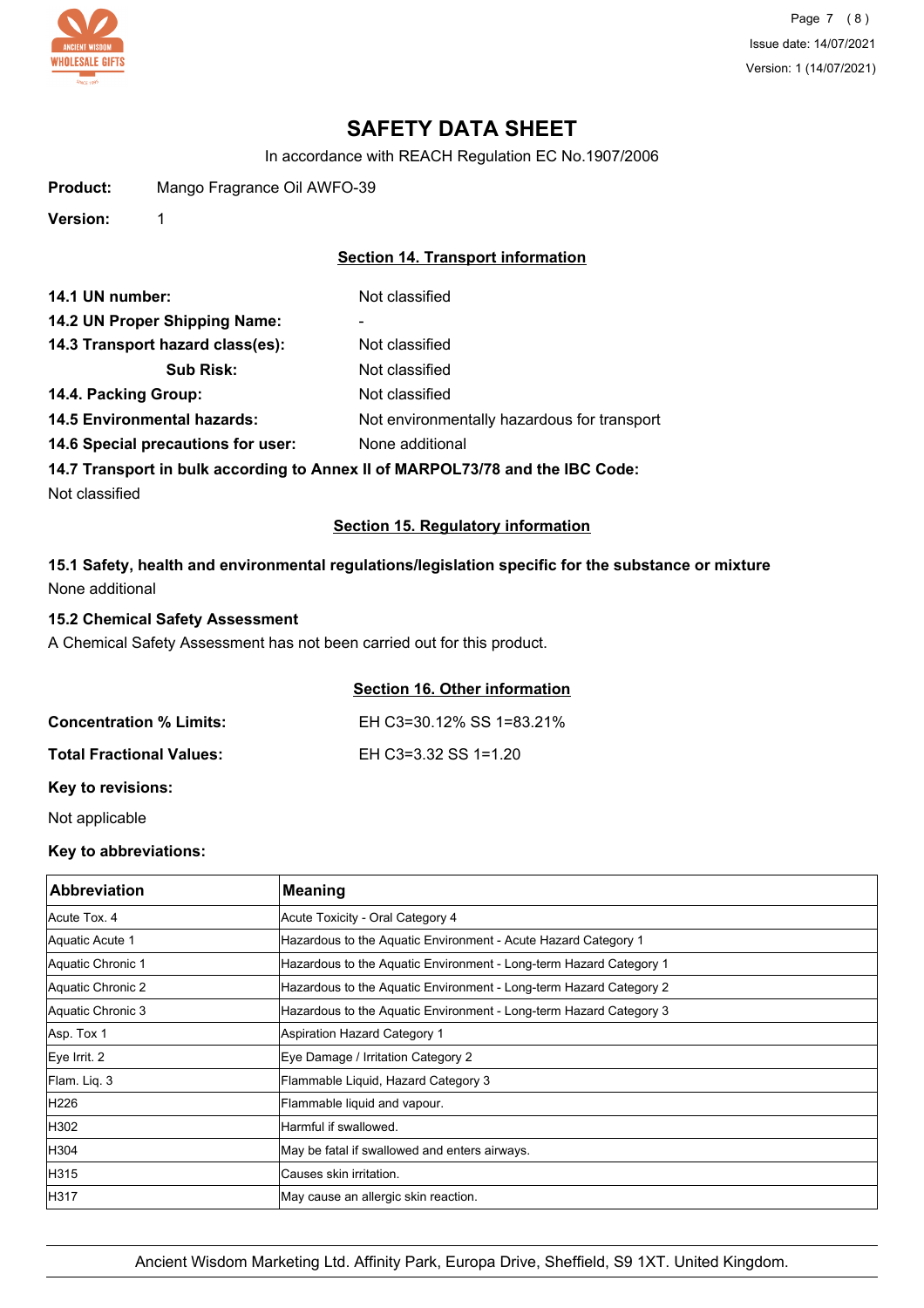

Page 7 (8) Issue date: 14/07/2021 Version: 1 (14/07/2021)

# **SAFETY DATA SHEET**

In accordance with REACH Regulation EC No.1907/2006

**Product:** Mango Fragrance Oil AWFO-39

**Version:** 1

# **Section 14. Transport information**

| 14.1 UN number:                    | Not classified                                                                 |
|------------------------------------|--------------------------------------------------------------------------------|
| 14.2 UN Proper Shipping Name:      | ۰                                                                              |
| 14.3 Transport hazard class(es):   | Not classified                                                                 |
| <b>Sub Risk:</b>                   | Not classified                                                                 |
| 14.4. Packing Group:               | Not classified                                                                 |
| <b>14.5 Environmental hazards:</b> | Not environmentally hazardous for transport                                    |
| 14.6 Special precautions for user: | None additional                                                                |
|                                    | 14.7 Transport in bulk seconding to Anney II of MADDOI 72/70 and the IDC Code: |

**14.7 Transport in bulk according to Annex II of MARPOL73/78 and the IBC Code:**

Not classified

## **Section 15. Regulatory information**

# **15.1 Safety, health and environmental regulations/legislation specific for the substance or mixture** None additional

#### **15.2 Chemical Safety Assessment**

A Chemical Safety Assessment has not been carried out for this product.

## **Section 16. Other information**

| <b>Concentration % Limits:</b>  | EH C3=30.12% SS 1=83.21% |
|---------------------------------|--------------------------|
| <b>Total Fractional Values:</b> | EH C3=3.32 SS 1=1.20     |

## **Key to revisions:**

Not applicable

# **Key to abbreviations:**

| <b>Abbreviation</b> | <b>Meaning</b>                                                     |
|---------------------|--------------------------------------------------------------------|
| Acute Tox, 4        | Acute Toxicity - Oral Category 4                                   |
| Aquatic Acute 1     | Hazardous to the Aquatic Environment - Acute Hazard Category 1     |
| Aquatic Chronic 1   | Hazardous to the Aquatic Environment - Long-term Hazard Category 1 |
| Aquatic Chronic 2   | Hazardous to the Aquatic Environment - Long-term Hazard Category 2 |
| Aquatic Chronic 3   | Hazardous to the Aquatic Environment - Long-term Hazard Category 3 |
| Asp. Tox 1          | <b>Aspiration Hazard Category 1</b>                                |
| Eye Irrit. 2        | Eye Damage / Irritation Category 2                                 |
| Flam. Lig. 3        | Flammable Liquid, Hazard Category 3                                |
| H226                | Flammable liquid and vapour.                                       |
| H302                | Harmful if swallowed.                                              |
| H304                | May be fatal if swallowed and enters airways.                      |
| H315                | lCauses skin irritation.                                           |
| H317                | May cause an allergic skin reaction.                               |